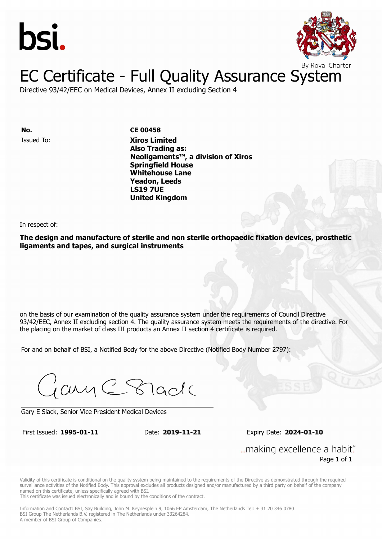



### EC Certificate - Full Quality Assurance System

Directive 93/42/EEC on Medical Devices, Annex II excluding Section 4

**No. CE 00458**

Issued To: **Xiros Limited Also Trading as: Neoligaments™, a division of Xiros Springfield House Whitehouse Lane Yeadon, Leeds LS19 7UE United Kingdom**

In respect of:

**The design and manufacture of sterile and non sterile orthopaedic fixation devices, prosthetic ligaments and tapes, and surgical instruments**

on the basis of our examination of the quality assurance system under the requirements of Council Directive 93/42/EEC, Annex II excluding section 4. The quality assurance system meets the requirements of the directive. For the placing on the market of class III products an Annex II section 4 certificate is required.

For and on behalf of BSI, a Notified Body for the above Directive (Notified Body Number 2797):

Gary C Stade

Gary E Slack, Senior Vice President Medical Devices

First Issued: **1995-01-11** Date: **2019-11-21** Expiry Date: **2024-01-10**

... making excellence a habit." Page 1 of 1

Validity of this certificate is conditional on the quality system being maintained to the requirements of the Directive as demonstrated through the required surveillance activities of the Notified Body. This approval excludes all products designed and/or manufactured by a third party on behalf of the company named on this certificate, unless specifically agreed with BSI.

This certificate was issued electronically and is bound by the conditions of the contract.

Information and Contact: BSI, Say Building, John M. Keynesplein 9, 1066 EP Amsterdam, The Netherlands Tel: + 31 20 346 0780 BSI Group The Netherlands B.V. registered in The Netherlands under 33264284. A member of BSI Group of Companies.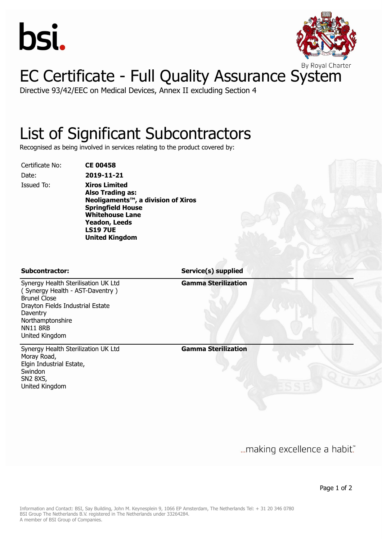



## EC Certificate - Full Quality Assurance System

Directive 93/42/EEC on Medical Devices, Annex II excluding Section 4

### List of Significant Subcontractors

Recognised as being involved in services relating to the product covered by:

Certificate No: **CE 00458**

Date: **2019-11-21** Issued To: **Xiros Limited**

**Also Trading as: Neoligaments™, a division of Xiros Springfield House Whitehouse Lane Yeadon, Leeds LS19 7UE United Kingdom**

Northamptonshire

Brunel Close

Daventry

NN11 8RB United Kingdom

**Subcontractor: Service(s) supplied**

**Gamma Sterilization**

Synergy Health Sterilization UK Ltd Moray Road, Elgin Industrial Estate, Swindon SN2 8XS, United Kingdom

Synergy Health Sterilisation UK Ltd ( Synergy Health - AST-Daventry )

Drayton Fields Industrial Estate

**Gamma Sterilization**

... making excellence a habit."

Page 1 of 2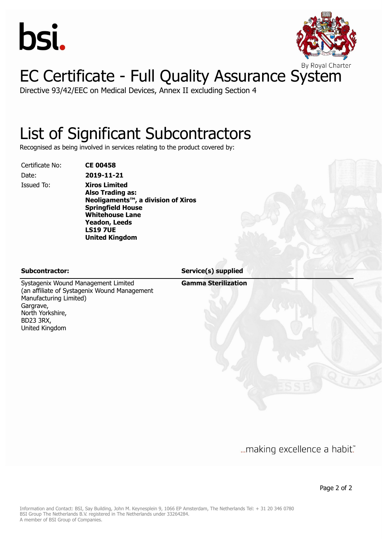



# EC Certificate - Full Quality Assurance System

Directive 93/42/EEC on Medical Devices, Annex II excluding Section 4

### List of Significant Subcontractors

Recognised as being involved in services relating to the product covered by:

Certificate No: **CE 00458**

Date: **2019-11-21**

Issued To: **Xiros Limited Also Trading as: Neoligaments™, a division of Xiros Springfield House Whitehouse Lane Yeadon, Leeds LS19 7UE United Kingdom**

**Gamma Sterilization Subcontractor: Service(s) supplied**

Systagenix Wound Management Limited (an affiliate of Systagenix Wound Management Manufacturing Limited) Gargrave, North Yorkshire, BD23 3RX, United Kingdom

... making excellence a habit."

Page 2 of 2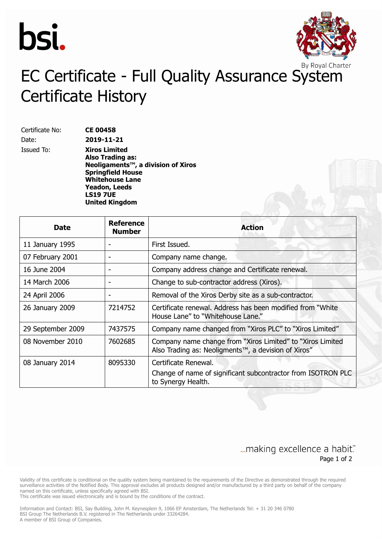



## EC Certificate - Full Quality Assurance System Certificate History

Certificate No: **CE 00458** Date: **2019-11-21**

Issued To: **Xiros Limited Also Trading as: Neoligaments™, a division of Xiros Springfield House Whitehouse Lane Yeadon, Leeds LS19 7UE United Kingdom**

| <b>Date</b>       | <b>Reference</b><br><b>Number</b> | <b>Action</b>                                                                                                      |
|-------------------|-----------------------------------|--------------------------------------------------------------------------------------------------------------------|
| 11 January 1995   |                                   | First Issued.                                                                                                      |
| 07 February 2001  |                                   | Company name change.                                                                                               |
| 16 June 2004      |                                   | Company address change and Certificate renewal.                                                                    |
| 14 March 2006     |                                   | Change to sub-contractor address (Xiros).                                                                          |
| 24 April 2006     |                                   | Removal of the Xiros Derby site as a sub-contractor.                                                               |
| 26 January 2009   | 7214752                           | Certificate renewal. Address has been modified from "White"<br>House Lane" to "Whitehouse Lane."                   |
| 29 September 2009 | 7437575                           | Company name changed from "Xiros PLC" to "Xiros Limited"                                                           |
| 08 November 2010  | 7602685                           | Company name change from "Xiros Limited" to "Xiros Limited"<br>Also Trading as: Neoligments™, a devision of Xiros" |
| 08 January 2014   | 8095330                           | Certificate Renewal.<br>Change of name of significant subcontractor from ISOTRON PLC<br>to Synergy Health.         |

### ... making excellence a habit." Page 1 of 2

Validity of this certificate is conditional on the quality system being maintained to the requirements of the Directive as demonstrated through the required surveillance activities of the Notified Body. This approval excludes all products designed and/or manufactured by a third party on behalf of the company named on this certificate, unless specifically agreed with BSI.

This certificate was issued electronically and is bound by the conditions of the contract.

Information and Contact: BSI, Say Building, John M. Keynesplein 9, 1066 EP Amsterdam, The Netherlands Tel: + 31 20 346 0780 BSI Group The Netherlands B.V. registered in The Netherlands under 33264284. A member of BSI Group of Companies.